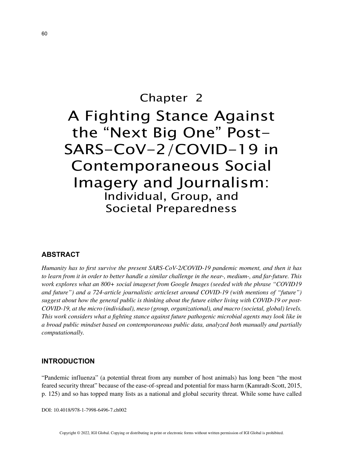# Chapter 2 A Fighting Stance Against the "Next Big One" Post-SARS-CoV-2/COVID-19 in Contemporaneous Social Imagery and Journalism: Individual, Group, and Societal Preparedness

# **ABSTRACT**

*Humanity has to first survive the present SARS-CoV-2/COVID-19 pandemic moment, and then it has to learn from it in order to better handle a similar challenge in the near-, medium-, and far-future. This work explores what an 800+ social imageset from Google Images (seeded with the phrase "COVID19 and future") and a 724-article journalistic articleset around COVID-19 (with mentions of "future") suggest about how the general public is thinking about the future either living with COVID-19 or post-COVID-19, at the micro (individual), meso (group, organizational), and macro (societal, global) levels. This work considers what a fighting stance against future pathogenic microbial agents may look like in a broad public mindset based on contemporaneous public data, analyzed both manually and partially computationally.*

#### **INTRODUCTION**

"Pandemic influenza" (a potential threat from any number of host animals) has long been "the most feared security threat" because of the ease-of-spread and potential for mass harm (Kamradt-Scott, 2015, p. 125) and so has topped many lists as a national and global security threat. While some have called

DOI: 10.4018/978-1-7998-6496-7.ch002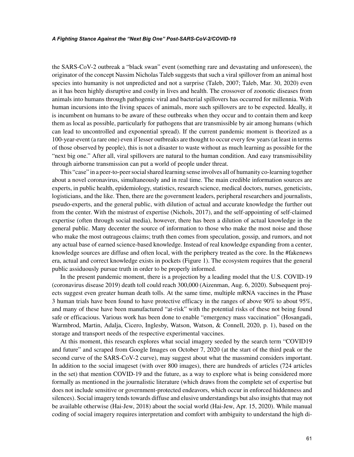the SARS-CoV-2 outbreak a "black swan" event (something rare and devastating and unforeseen), the originator of the concept Nassim Nicholas Taleb suggests that such a viral spillover from an animal host species into humanity is not unpredicted and not a surprise (Taleb, 2007; Taleb, Mar. 30, 2020) even as it has been highly disruptive and costly in lives and health. The crossover of zoonotic diseases from animals into humans through pathogenic viral and bacterial spillovers has occurred for millennia. With human incursions into the living spaces of animals, more such spillovers are to be expected. Ideally, it is incumbent on humans to be aware of these outbreaks when they occur and to contain them and keep them as local as possible, particularly for pathogens that are transmissible by air among humans (which can lead to uncontrolled and exponential spread). If the current pandemic moment is theorized as a 100-year-event (a rare one) even if lesser outbreaks are thought to occur every few years (at least in terms of those observed by people), this is not a disaster to waste without as much learning as possible for the "next big one." After all, viral spillovers are natural to the human condition. And easy transmissibility through airborne transmission can put a world of people under threat.

This "case" in a peer-to-peer social shared learning sense involves all of humanity co-learning together about a novel coronavirus, simultaneously and in real time. The main credible information sources are experts, in public health, epidemiology, statistics, research science, medical doctors, nurses, geneticists, logisticians, and the like. Then, there are the government leaders, peripheral researchers and journalists, pseudo-experts, and the general public, with dilution of actual and accurate knowledge the further out from the center. With the mistrust of expertise (Nichols, 2017), and the self-appointing of self-claimed expertise (often through social media), however, there has been a dilution of actual knowledge in the general public. Many decenter the source of information to those who make the most noise and those who make the most outrageous claims; truth then comes from speculation, gossip, and rumors, and not any actual base of earned science-based knowledge. Instead of real knowledge expanding from a center, knowledge sources are diffuse and often local, with the periphery treated as the core. In the #fakenews era, actual and correct knowledge exists in pockets (Figure 1). The ecosystem requires that the general public assiduously pursue truth in order to be properly informed.

In the present pandemic moment, there is a projection by a leading model that the U.S. COVID-19 (coronavirus disease 2019) death toll could reach 300,000 (Aizenman, Aug. 6, 2020). Subsequent projects suggest even greater human death tolls. At the same time, multiple mRNA vaccines in the Phase 3 human trials have been found to have protective efficacy in the ranges of above 90% to about 95%, and many of these have been manufactured "at-risk" with the potential risks of these not being found safe or efficacious. Various work has been done to enable "emergency mass vaccination" (Hosangadi, Warmbrod, Martin, Adalja, Cicero, Inglesby, Watson, Watson, & Connell, 2020, p. 1), based on the storage and transport needs of the respective experimental vaccines.

At this moment, this research explores what social imagery seeded by the search term "COVID19 and future" and scraped from Google Images on October 7, 2020 (at the start of the third peak or the second curve of the SARS-CoV-2 curve), may suggest about what the massmind considers important. In addition to the social imageset (with over 800 images), there are hundreds of articles (724 articles in the set) that mention COVID-19 and the future, as a way to explore what is being considered more formally as mentioned in the journalistic literature (which draws from the complete set of expertise but does not include sensitive or government-protected endeavors, which occur in enforced hiddenness and silences). Social imagery tends towards diffuse and elusive understandings but also insights that may not be available otherwise (Hai-Jew, 2018) about the social world (Hai-Jew, Apr. 15, 2020). While manual coding of social imagery requires interpretation and comfort with ambiguity to understand the high di-